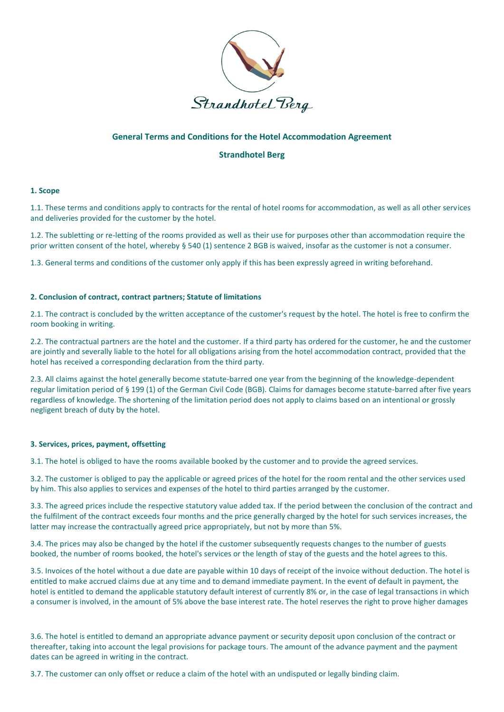

# **General Terms and Conditions for the Hotel Accommodation Agreement**

# **Strandhotel Berg**

#### **1. Scope**

1.1. These terms and conditions apply to contracts for the rental of hotel rooms for accommodation, as well as all other services and deliveries provided for the customer by the hotel.

1.2. The subletting or re-letting of the rooms provided as well as their use for purposes other than accommodation require the prior written consent of the hotel, whereby § 540 (1) sentence 2 BGB is waived, insofar as the customer is not a consumer.

1.3. General terms and conditions of the customer only apply if this has been expressly agreed in writing beforehand.

### **2. Conclusion of contract, contract partners; Statute of limitations**

2.1. The contract is concluded by the written acceptance of the customer's request by the hotel. The hotel is free to confirm the room booking in writing.

2.2. The contractual partners are the hotel and the customer. If a third party has ordered for the customer, he and the customer are jointly and severally liable to the hotel for all obligations arising from the hotel accommodation contract, provided that the hotel has received a corresponding declaration from the third party.

2.3. All claims against the hotel generally become statute-barred one year from the beginning of the knowledge-dependent regular limitation period of § 199 (1) of the German Civil Code (BGB). Claims for damages become statute-barred after five years regardless of knowledge. The shortening of the limitation period does not apply to claims based on an intentional or grossly negligent breach of duty by the hotel.

#### **3. Services, prices, payment, offsetting**

3.1. The hotel is obliged to have the rooms available booked by the customer and to provide the agreed services.

3.2. The customer is obliged to pay the applicable or agreed prices of the hotel for the room rental and the other services used by him. This also applies to services and expenses of the hotel to third parties arranged by the customer.

3.3. The agreed prices include the respective statutory value added tax. If the period between the conclusion of the contract and the fulfilment of the contract exceeds four months and the price generally charged by the hotel for such services increases, the latter may increase the contractually agreed price appropriately, but not by more than 5%.

3.4. The prices may also be changed by the hotel if the customer subsequently requests changes to the number of guests booked, the number of rooms booked, the hotel's services or the length of stay of the guests and the hotel agrees to this.

3.5. Invoices of the hotel without a due date are payable within 10 days of receipt of the invoice without deduction. The hotel is entitled to make accrued claims due at any time and to demand immediate payment. In the event of default in payment, the hotel is entitled to demand the applicable statutory default interest of currently 8% or, in the case of legal transactions in which a consumer is involved, in the amount of 5% above the base interest rate. The hotel reserves the right to prove higher damages

3.6. The hotel is entitled to demand an appropriate advance payment or security deposit upon conclusion of the contract or thereafter, taking into account the legal provisions for package tours. The amount of the advance payment and the payment dates can be agreed in writing in the contract.

3.7. The customer can only offset or reduce a claim of the hotel with an undisputed or legally binding claim.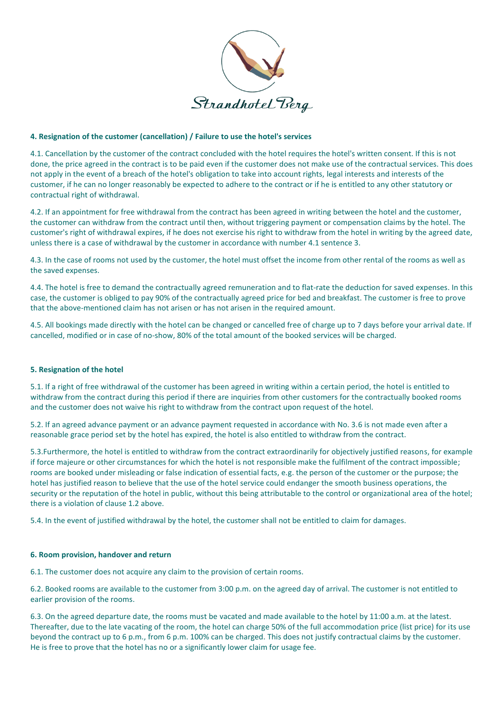

## **4. Resignation of the customer (cancellation) / Failure to use the hotel's services**

4.1. Cancellation by the customer of the contract concluded with the hotel requires the hotel's written consent. If this is not done, the price agreed in the contract is to be paid even if the customer does not make use of the contractual services. This does not apply in the event of a breach of the hotel's obligation to take into account rights, legal interests and interests of the customer, if he can no longer reasonably be expected to adhere to the contract or if he is entitled to any other statutory or contractual right of withdrawal.

4.2. If an appointment for free withdrawal from the contract has been agreed in writing between the hotel and the customer, the customer can withdraw from the contract until then, without triggering payment or compensation claims by the hotel. The customer's right of withdrawal expires, if he does not exercise his right to withdraw from the hotel in writing by the agreed date, unless there is a case of withdrawal by the customer in accordance with number 4.1 sentence 3.

4.3. In the case of rooms not used by the customer, the hotel must offset the income from other rental of the rooms as well as the saved expenses.

4.4. The hotel is free to demand the contractually agreed remuneration and to flat-rate the deduction for saved expenses. In this case, the customer is obliged to pay 90% of the contractually agreed price for bed and breakfast. The customer is free to prove that the above-mentioned claim has not arisen or has not arisen in the required amount.

4.5. All bookings made directly with the hotel can be changed or cancelled free of charge up to 7 days before your arrival date. If cancelled, modified or in case of no-show, 80% of the total amount of the booked services will be charged.

### **5. Resignation of the hotel**

5.1. If a right of free withdrawal of the customer has been agreed in writing within a certain period, the hotel is entitled to withdraw from the contract during this period if there are inquiries from other customers for the contractually booked rooms and the customer does not waive his right to withdraw from the contract upon request of the hotel.

5.2. If an agreed advance payment or an advance payment requested in accordance with No. 3.6 is not made even after a reasonable grace period set by the hotel has expired, the hotel is also entitled to withdraw from the contract.

5.3.Furthermore, the hotel is entitled to withdraw from the contract extraordinarily for objectively justified reasons, for example if force majeure or other circumstances for which the hotel is not responsible make the fulfilment of the contract impossible; rooms are booked under misleading or false indication of essential facts, e.g. the person of the customer or the purpose; the hotel has justified reason to believe that the use of the hotel service could endanger the smooth business operations, the security or the reputation of the hotel in public, without this being attributable to the control or organizational area of the hotel; there is a violation of clause 1.2 above.

5.4. In the event of justified withdrawal by the hotel, the customer shall not be entitled to claim for damages.

#### **6. Room provision, handover and return**

6.1. The customer does not acquire any claim to the provision of certain rooms.

6.2. Booked rooms are available to the customer from 3:00 p.m. on the agreed day of arrival. The customer is not entitled to earlier provision of the rooms.

6.3. On the agreed departure date, the rooms must be vacated and made available to the hotel by 11:00 a.m. at the latest. Thereafter, due to the late vacating of the room, the hotel can charge 50% of the full accommodation price (list price) for its use beyond the contract up to 6 p.m., from 6 p.m. 100% can be charged. This does not justify contractual claims by the customer. He is free to prove that the hotel has no or a significantly lower claim for usage fee.